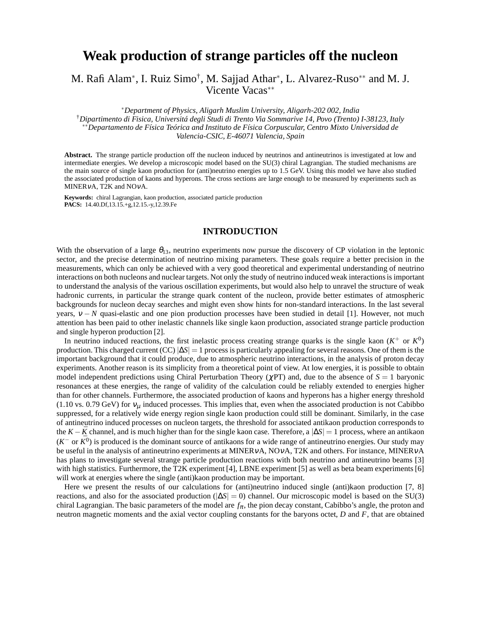# **Weak production of strange particles off the nucleon**

M. Rafi Alam<sup>∗</sup>, I. Ruiz Simo<sup>†</sup>, M. Sajjad Athar<sup>∗</sup>, L. Alvarez-Ruso<sup>∗∗</sup> and M. J. Vicente Vacas∗∗

∗*Department of Physics, Aligarh Muslim University, Aligarh-202 002, India* †*Dipartimento di Fisica, Universitá degli Studi di Trento Via Sommarive 14, Povo (Trento) I-38123, Italy* ∗∗*Departamento de Física Teórica and Instituto de Física Corpuscular, Centro Mixto Universidad de Valencia-CSIC, E-46071 Valencia, Spain*

**Abstract.** The strange particle production off the nucleon induced by neutrinos and antineutrinos is investigated at low and intermediate energies. We develop a microscopic model based on the SU(3) chiral Lagrangian. The studied mechanisms are the main source of single kaon production for (anti)neutrino energies up to 1.5 GeV. Using this model we have also studied the associated production of kaons and hyperons. The cross sections are large enough to be measured by experiments such as MINERνA, T2K and NOνA.

**Keywords:** chiral Lagrangian, kaon production, associated particle production **PACS:** 14.40.Df,13.15.+g,12.15.-y,12.39.Fe

### **INTRODUCTION**

With the observation of a large  $\theta_{13}$ , neutrino experiments now pursue the discovery of CP violation in the leptonic sector, and the precise determination of neutrino mixing parameters. These goals require a better precision in the measurements, which can only be achieved with a very good theoretical and experimental understanding of neutrino interactions on both nucleons and nuclear targets. Not only the study of neutrino induced weak interactions is important to understand the analysis of the various oscillation experiments, but would also help to unravel the structure of weak hadronic currents, in particular the strange quark content of the nucleon, provide better estimates of atmospheric backgrounds for nucleon decay searches and might even show hints for non-standard interactions. In the last several years, v − *N* quasi-elastic and one pion production processes have been studied in detail [1]. However, not much attention has been paid to other inelastic channels like single kaon production, associated strange particle production and single hyperon production [2].

In neutrino induced reactions, the first inelastic process creating strange quarks is the single kaon  $(K^+$  or  $K^0)$ production. This charged current (CC) |∆*S*| = 1 process is particularly appealing for several reasons. One of them is the important background that it could produce, due to atmospheric neutrino interactions, in the analysis of proton decay experiments. Another reason is its simplicity from a theoretical point of view. At low energies, it is possible to obtain model independent predictions using Chiral Perturbation Theory (χPT) and, due to the absence of *S* = 1 baryonic resonances at these energies, the range of validity of the calculation could be reliably extended to energies higher than for other channels. Furthermore, the associated production of kaons and hyperons has a higher energy threshold (1.10 vs. 0.79 GeV) for  $v_\mu$  induced processes. This implies that, even when the associated production is not Cabibbo suppressed, for a relatively wide energy region single kaon production could still be dominant. Similarly, in the case of antineutrino induced processes on nucleon targets, the threshold for associated antikaon production corresponds to the *K* −  $\bar{K}$  channel, and is much higher than for the single kaon case. Therefore, a  $|\Delta S| = 1$  process, where an antikaon  $(K<sup>-</sup>$  or  $\bar{K}^0$ ) is produced is the dominant source of antikaons for a wide range of antineutrino energies. Our study may be useful in the analysis of antineutrino experiments at MINERνA, NOνA, T2K and others. For instance, MINERνA has plans to investigate several strange particle production reactions with both neutrino and antineutrino beams [3] with high statistics. Furthermore, the T2K experiment [4], LBNE experiment [5] as well as beta beam experiments [6] will work at energies where the single (anti)kaon production may be important.

Here we present the results of our calculations for (anti)neutrino induced single (anti)kaon production [7, 8] reactions, and also for the associated production (|∆*S*| = 0) channel. Our microscopic model is based on the SU(3) chiral Lagrangian. The basic parameters of the model are *f*π, the pion decay constant, Cabibbo's angle, the proton and neutron magnetic moments and the axial vector coupling constants for the baryons octet, *D* and *F*, that are obtained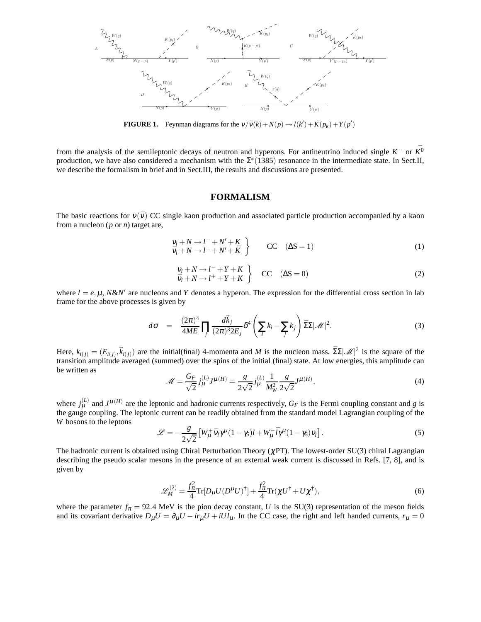

**FIGURE 1.** Feynman diagrams for the  $v/\bar{v}(k) + N(p) \rightarrow l(k') + K(p_k) + Y(p')$ 

from the analysis of the semileptonic decays of neutron and hyperons. For antineutrino induced single  $K^-$  or  $\bar{K^0}$ production, we have also considered a mechanism with the  $\Sigma^*(1385)$  resonance in the intermediate state. In Sect.II, we describe the formalism in brief and in Sect.III, the results and discussions are presented.

#### **FORMALISM**

The basic reactions for  $v(\bar{v})$  CC single kaon production and associated particle production accompanied by a kaon from a nucleon (*p* or *n*) target are,

$$
\begin{aligned}\n\mathbf{V}_l + N &\rightarrow l^- + N' + K \\
\bar{\mathbf{V}}_l + N &\rightarrow l^+ + N' + \bar{K}\n\end{aligned}\n\qquad\n\text{CC} \quad (\Delta S = 1)\n\tag{1}
$$

$$
\begin{array}{c}\nV_l + N \rightarrow l^- + Y + K \\
\bar{V}_l + N \rightarrow l^+ + Y + K\n\end{array}
$$
\n
$$
\begin{array}{c}\n\text{CC} \quad (\Delta S = 0) \\
\end{array}
$$
\n(2)

where  $l = e, \mu, N \& N'$  are nucleons and *Y* denotes a hyperon. The expression for the differential cross section in lab frame for the above processes is given by

$$
d\sigma = \frac{(2\pi)^4}{4ME} \prod_j \frac{d\vec{k}_j}{(2\pi)^3 2E_j} \delta^4 \left( \sum_i k_i - \sum_j k_j \right) \bar{\Sigma} \Sigma |\mathscr{M}|^2. \tag{3}
$$

Here,  $k_{i(j)} = (E_{i(j)}, \vec{k}_{i(j)})$  are the initial(final) 4-momenta and *M* is the nucleon mass.  $\bar{\Sigma} \Sigma | \mathcal{M}|^2$  is the square of the transition amplitude averaged (summed) over the spins of the initial (final) state. At low energies, this amplitude can be written as

$$
\mathcal{M} = \frac{G_F}{\sqrt{2}} j^{(L)}_{\mu} J^{\mu(H)} = \frac{g}{2\sqrt{2}} j^{(L)}_{\mu} \frac{1}{M_W^2} \frac{g}{2\sqrt{2}} J^{\mu(H)},\tag{4}
$$

where  $j_{\mu}^{(L)}$  and  $J^{\mu}(H)$  are the leptonic and hadronic currents respectively,  $G_F$  is the Fermi coupling constant and *g* is the gauge coupling. The leptonic current can be readily obtained from the standard model Lagrangian coupling of the *W* bosons to the leptons

$$
\mathcal{L} = -\frac{g}{2\sqrt{2}} \left[ W^+_\mu \bar{v}_l \gamma^\mu (1 - \gamma_5) l + W^-_\mu \bar{l} \gamma^\mu (1 - \gamma_5) v_l \right]. \tag{5}
$$

The hadronic current is obtained using Chiral Perturbation Theory ( $\chi$ PT). The lowest-order SU(3) chiral Lagrangian describing the pseudo scalar mesons in the presence of an external weak current is discussed in Refs. [7, 8], and is given by

$$
\mathcal{L}_{M}^{(2)} = \frac{f_{\pi}^{2}}{4} \text{Tr}[D_{\mu} U (D^{\mu} U)^{\dagger}] + \frac{f_{\pi}^{2}}{4} \text{Tr}(\chi U^{\dagger} + U \chi^{\dagger}), \tag{6}
$$

where the parameter  $f_{\pi} = 92.4$  MeV is the pion decay constant, *U* is the SU(3) representation of the meson fields and its covariant derivative  $D_\mu U = \partial_\mu U - ir_\mu U + iUl_\mu$ . In the CC case, the right and left handed currents,  $r_\mu = 0$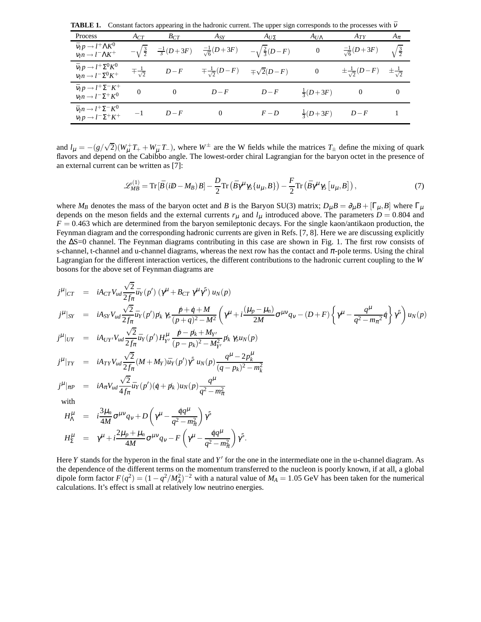**TABLE 1.** Constant factors appearing in the hadronic current. The upper sign corresponds to the processes with  $\bar{v}$ 

| Process                                                                            | $A_{CT}$                | $B_{CT}$             | $A_{SY}$                        | $A_{U\Sigma}$              | $A_{U\Lambda}$          | $A_{TY}$                      | $A_{\pi}$            |
|------------------------------------------------------------------------------------|-------------------------|----------------------|---------------------------------|----------------------------|-------------------------|-------------------------------|----------------------|
| $\bar{v}_l p \rightarrow l^+ \Lambda K^0$<br>$v_l n \rightarrow l^- \Lambda K^+$   | $-\sqrt{\frac{3}{2}}$   | $\frac{-1}{3}(D+3F)$ | $\frac{-1}{\sqrt{6}}(D+3F)$     | $-\sqrt{\frac{2}{3}(D-F)}$ | 0                       | $\frac{-1}{\sqrt{6}}(D+3F)$   | $\sqrt{\frac{3}{2}}$ |
| $\bar{v}_l p \rightarrow l^+ \Sigma^0 K^0$<br>$v_l n \rightarrow l^- \Sigma^0 K^+$ | $\pm\frac{1}{\sqrt{2}}$ | $D-F$                | $\mp \frac{1}{\sqrt{2}}(D - F)$ | $\mp\sqrt{2}(D-F)$         | $\boldsymbol{0}$        | $\pm \frac{1}{\sqrt{2}}(D-F)$ |                      |
| $\bar{v}_l p \rightarrow l^+ \Sigma^- K^+$<br>$v_l n \rightarrow l^- \Sigma^+ K^0$ | $\overline{0}$          | $\theta$             | $D-F$                           | $D-F$                      | $\frac{1}{3}(D+3F)$     | $\overline{\mathbf{0}}$       | $\boldsymbol{0}$     |
| $\bar{v}_l n \rightarrow l^+ \Sigma^- K^0$<br>$v_l p \rightarrow l^- \Sigma^+ K^+$ | $-1$                    | $D-F$                | $\overline{0}$                  | $F - D$                    | $rac{1}{3}(D+3F)$ $D-F$ |                               |                      |

and  $l_{\mu} = -(g/\sqrt{2})(W_{\mu}^{+}T_{+} + W_{\mu}^{-}T_{-})$ , where  $W^{\pm}$  are the W fields while the matrices  $T_{\pm}$  define the mixing of quark flavors and depend on the Cabibbo angle. The lowest-order chiral Lagrangian for the baryon octet in the presence of an external current can be written as [7]:

$$
\mathcal{L}_{MB}^{(1)} = \text{Tr}\left[\bar{B}\left(iD - M_B\right)B\right] - \frac{D}{2}\text{Tr}\left(\bar{B}\gamma^{\mu}\gamma_5\{u_{\mu}, B\}\right) - \frac{F}{2}\text{Tr}\left(\bar{B}\gamma^{\mu}\gamma_5\left[u_{\mu}, B\right]\right),\tag{7}
$$

where  $M_B$  denotes the mass of the baryon octet and *B* is the Baryon SU(3) matrix;  $D_\mu B = \partial_\mu B + [\Gamma_\mu, B]$  where  $\Gamma_\mu$ depends on the meson fields and the external currents  $r_{\mu}$  and  $l_{\mu}$  introduced above. The parameters  $D = 0.804$  and  $F = 0.463$  which are determined from the baryon semileptonic decays. For the single kaon/antikaon production, the Feynman diagram and the corresponding hadronic currents are given in Refs. [7, 8]. Here we are discussing explicitly the ∆S=0 channel. The Feynman diagrams contributing in this case are shown in Fig. 1. The first row consists of s-channel, t-channel and u-channel diagrams, whereas the next row has the contact and  $\pi$ -pole terms. Using the chiral Lagrangian for the different interaction vertices, the different contributions to the hadronic current coupling to the *W* bosons for the above set of Feynman diagrams are

$$
j^{\mu}|_{CT} = iA_{CT}V_{ud}\frac{\sqrt{2}}{2f_{\pi}}\bar{u}_{Y}(p')\left(\gamma^{\mu}+B_{CT}\gamma^{\mu}\gamma^{5}\right)u_{N}(p)
$$
\n
$$
j^{\mu}|_{SY} = iA_{SY}V_{ud}\frac{\sqrt{2}}{2f_{\pi}}\bar{u}_{Y}(p')p_{k}\gamma_{5}\frac{p+q+M}{(p+q)^{2}-M^{2}}\left(\gamma^{\mu}+i\frac{(\mu_{p}-\mu_{n})}{2M}\sigma^{\mu\nu}q_{V}-(D+F)\left\{\gamma^{\mu}-\frac{q^{\mu}}{q^{2}-m_{\pi}^{2}}q\right\}\gamma^{5}\right)u_{N}(p)
$$
\n
$$
j^{\mu}|_{UY} = iA_{UY}V_{ud}\frac{\sqrt{2}}{2f_{\pi}}\bar{u}_{Y}(p')H_{Y'}^{\mu}\frac{p-p_{k}+M_{Y'}}{(p-p_{k})^{2}-M_{Y'}^{2}}p_{k}\gamma_{5}u_{N}(p)
$$
\n
$$
j^{\mu}|_{TY} = iA_{TY}V_{ud}\frac{\sqrt{2}}{2f_{\pi}}(M+M_{Y})\bar{u}_{Y}(p')\gamma^{5}u_{N}(p)\frac{q^{\mu}-2p_{k}^{\mu}}{(q-p_{k})^{2}-m_{k}^{2}}
$$
\n
$$
j^{\mu}|_{\pi P} = iA_{\pi}V_{ud}\frac{\sqrt{2}}{4f_{\pi}}\bar{u}_{Y}(p')(q+p_{k})u_{N}(p)\frac{q^{\mu}}{q^{2}-m_{\pi}^{2}}
$$
\nwith\n
$$
H^{\mu} = i\frac{3\mu_{n}}{q}\sigma^{\mu\nu}q_{\nu}+D\left(\gamma^{\mu}-\frac{qq^{\mu}}{q}q^{\mu}\right)\gamma^{5}
$$

$$
H_{\Lambda}^{\mu} = i \frac{\partial \mu_{n}}{4M} \sigma^{\mu \nu} q_{\nu} + D \left( \gamma^{\mu} - \frac{q q}{q^{2} - m_{\pi}^{2}} \right) \gamma^{5}
$$
  

$$
H_{\Sigma}^{\mu} = \gamma^{\mu} + i \frac{2 \mu_{p} + \mu_{n}}{4M} \sigma^{\mu \nu} q_{\nu} - F \left( \gamma^{\mu} - \frac{q q^{\mu}}{q^{2} - m_{\pi}^{2}} \right) \gamma^{5}.
$$

Here *Y* stands for the hyperon in the final state and *Y'* for the one in the intermediate one in the u-channel diagram. As the dependence of the different terms on the momentum transferred to the nucleon is poorly known, if at all, a global dipole form factor  $F(q^2) = (1 - q^2/M_A^2)^{-2}$  with a natural value of  $M_A = 1.05$  GeV has been taken for the numerical calculations. It's effect is small at relatively low neutrino energies.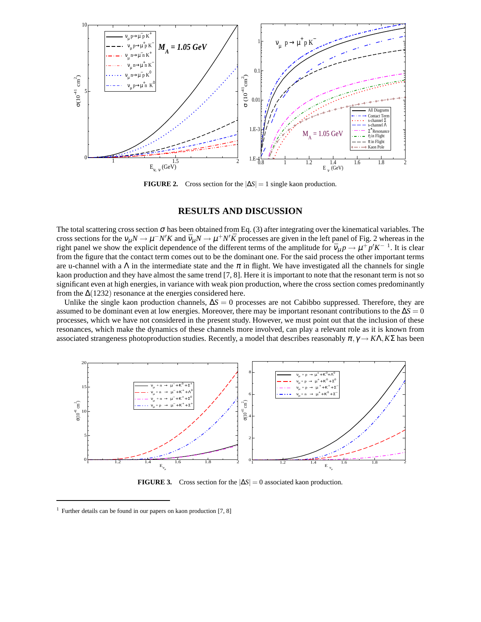

**FIGURE 2.** Cross section for the  $|\Delta S| = 1$  single kaon production.

### **RESULTS AND DISCUSSION**

The total scattering cross section  $\sigma$  has been obtained from Eq. (3) after integrating over the kinematical variables. The cross sections for the  $v_\mu N \to \mu^- N' K$  and  $\bar{v}_\mu N \to \mu^+ N' \bar{K}$  processes are given in the left panel of Fig. 2 whereas in the right panel we show the explicit dependence of the different terms of the amplitude for  $\bar{v}_\mu p \to \mu^+ p' K^{-1}$ . It is clear from the figure that the contact term comes out to be the dominant one. For the said process the other important terms are u-channel with a  $\Lambda$  in the intermediate state and the  $\pi$  in flight. We have investigated all the channels for single kaon production and they have almost the same trend [7, 8]. Here it is important to note that the resonant term is not so significant even at high energies, in variance with weak pion production, where the cross section comes predominantly from the  $\Delta(1232)$  resonance at the energies considered here.

Unlike the single kaon production channels, ∆*S* = 0 processes are not Cabibbo suppressed. Therefore, they are assumed to be dominant even at low energies. Moreover, there may be important resonant contributions to the  $\Delta S = 0$ processes, which we have not considered in the present study. However, we must point out that the inclusion of these resonances, which make the dynamics of these channels more involved, can play a relevant role as it is known from associated strangeness photoproduction studies. Recently, a model that describes reasonably  $\pi$ ,  $\gamma \rightarrow K\Lambda$ ,  $K\Sigma$  has been



**FIGURE 3.** Cross section for the  $|\Delta S| = 0$  associated kaon production.

<sup>&</sup>lt;sup>1</sup> Further details can be found in our papers on kaon production  $[7, 8]$